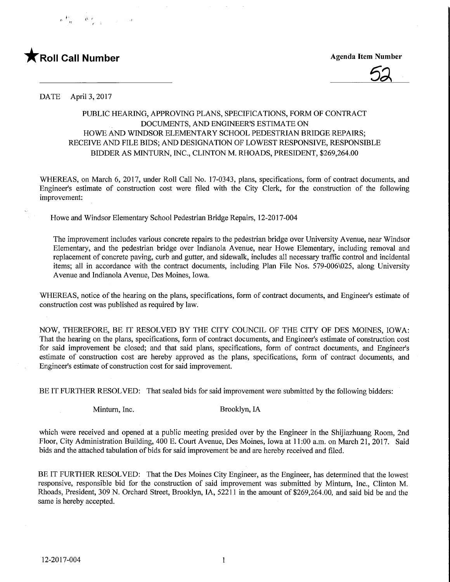





DATE April 3, 2017

## PUBLIC HEARING, APPROVING PLANS, SPECIFICATIONS, FORM OF CONTRACT DOCUMENTS, AND ENGINEER'S ESTIMATE ON HOWE AND WINDSOR ELEMENTARY SCHOOL PEDESTRIAN BMDGE REPAIRS; RECEIVE AND FILE BIDS; AND DESIGNATION OF LOWEST RESPONSIVE, RESPONSIBLE BIDDER AS MINTURN, INC., CLINTON M. RHOADS, PRESIDENT, \$269,264.00

WHEREAS, on March 6, 2017, under Roll Call No. 17-0343, plans, specifications, form of contract documents, and Engineer's estimate of construction cost were filed with the City Clerk, for the construction of the following improvement:

Howe and Windsor Elementary School Pedestrian Bridge Repairs, 12-2017-004

The improvement includes various concrete repairs to the pedestrian bridge over University Avenue, near Windsor Elementary, and the pedestrian bridge over Indianola Avenue, near Howe Elementary, including removal and replacement of concrete paving, curb and gutter, and sidewalk, includes all necessary traffic control and incidental items; all in accordance with the contract documents, including Plan File Nos. 579-006\025, along University Avenue and Indianola Avenue, Des Moines, Iowa.

WHEREAS, notice of the hearing on the plans, specifications, form of contract documents, and Engineer's estimate of construction cost was published as required by law.

NOW, THEREFORE, BE IT RESOLVED BY THE CITY COUNCIL OF THE CITY OF DES MOINES, IOWA: That the hearing on the plans, specifications, form of contract documents, and Engineer's estimate of construction cost for said improvement be closed; and that said plans, specifications, form of contract documents, and Engineer's estimate of construction cost are hereby approved as the plans, specifications, form of contract documents, and Engineer's estimate of construction cost for said improvement.

BE IT FURTHER RESOLVED: That sealed bids for said improvement were submitted by the following bidders:

Minturn, Inc. Brooklyn, IA

which were received and opened at a public meeting presided over by the Engineer in the Shijiazhuang Room, 2nd Floor, City Administration Building, 400 E. Court Avenue, Des Moines, Iowa at 11:00 a.m. on March 21, 2017. Said bids and the attached tabulation of bids for said improvement be and are hereby received and filed.

BE IT FURTHER RESOLVED: That the Des Moines City Engineer, as the Engineer, has determined that the lowest responsive, responsible bid for the construction of said improvement was submitted by Minturn, Inc., Clinton M. Rhoads, President, 309 N. Orchard Street, Brooklyn, IA, 52211 in the amount of \$269,264.00, and said bid be and the same is hereby accepted.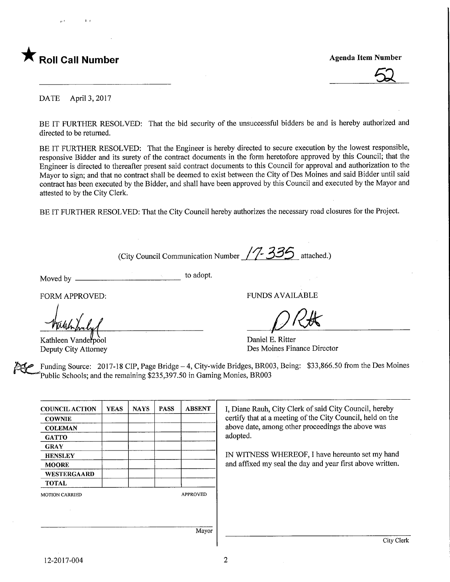

 $\overline{52}$ 

DATE April 3, 2017

BE IT FURTHER RESOLVED: That the bid security of the unsuccessful bidders be and is hereby authorized and directed to be returned.

BE IT FURTHER RESOLVED: That the Engineer is hereby directed to secure execution by the lowest responsible, responsive Bidder and its surety of the contract documents in the form heretofore approved by this Council; that the Engineer is directed to thereafter present said contract documents to this Council for approval and authorization to the Mayor to sign; and that no contract shall be deemed to exist between the City of Des Moines and said Bidder until said contract has been executed by the Bidder, and shall have been approved by this Council and executed by the Mayor and attested to by the City Clerk.

BE IT FURTHER RESOLVED: That the City Council hereby authorizes the necessary road closures for the Project.

(City Council Communication Number  $\frac{7}{7}$ - $\frac{33}{5}$  attached.)

Moved by \_\_\_\_\_\_

to adopt.

FORM APPROVED:

Kathleen Vanderpool Deputy City Attorney

FUNDS AVAILABLE

Daniel E. Ritter Des Moines Finance Director

Funding Source: 2017-18 CIP, Page Bridge - 4, City-wide Bridges, BR003, Being: \$33,866.50 from the Des Moines Public Schools; and the remaining \$235,397.50 in Gaming Monies, BR003

| <b>COUNCIL ACTION</b> | <b>YEAS</b> | <b>NAYS</b> | <b>PASS</b> | <b>ABSENT</b>   | I, Diane Rauh, City Clerk of said City Council, hereby     |
|-----------------------|-------------|-------------|-------------|-----------------|------------------------------------------------------------|
| <b>COWNIE</b>         |             |             |             |                 | certify that at a meeting of the City Council, held on the |
| <b>COLEMAN</b>        |             |             |             |                 | above date, among other proceedings the above was          |
| <b>GATTO</b>          |             |             |             |                 | adopted.                                                   |
| <b>GRAY</b>           |             |             |             |                 |                                                            |
| <b>HENSLEY</b>        |             |             |             |                 | IN WITNESS WHEREOF, I have hereunto set my hand            |
| <b>MOORE</b>          |             |             |             |                 | and affixed my seal the day and year first above written.  |
| <b>WESTERGAARD</b>    |             |             |             |                 |                                                            |
| <b>TOTAL</b>          |             |             |             |                 |                                                            |
| <b>MOTION CARRIED</b> |             |             |             | <b>APPROVED</b> |                                                            |
|                       |             |             |             |                 |                                                            |
|                       |             |             |             |                 |                                                            |
|                       |             |             |             | Mayor           |                                                            |
|                       |             |             |             |                 | City Clerk                                                 |

 $\overline{2}$